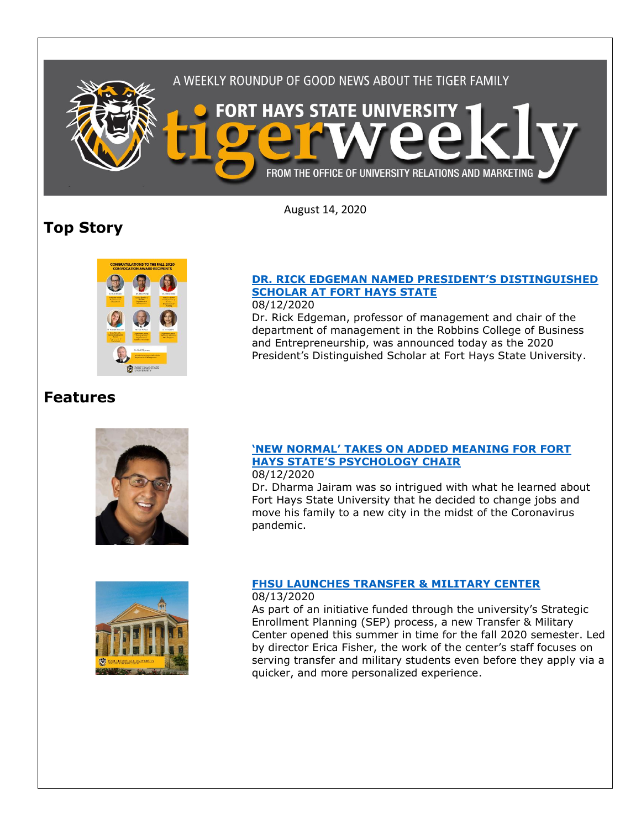

August 14, 2020

# **Top Story**



### **[DR. RICK EDGEMAN NAMED PRESIDENT](https://www.fhsu.edu/news/2020/08/dr.-rick-edgeman-named-presidents-distinguished-scholar-at-fort-hays-state)'S DISTINGUISHED [SCHOLAR AT FORT HAYS STATE](https://www.fhsu.edu/news/2020/08/dr.-rick-edgeman-named-presidents-distinguished-scholar-at-fort-hays-state)**

## 08/12/2020

Dr. Rick Edgeman, professor of management and chair of the department of management in the Robbins College of Business and Entrepreneurship, was announced today as the 2020 President's Distinguished Scholar at Fort Hays State University.

# **Features**





# **['NEW NORMAL' TAKES ON ADDED MEANING FOR FORT](https://www.fhsu.edu/news/2020/08/new-normal-takes-on-added-meaning-for-fort-hays-states-psychology-chair)  HAYS STATE['S PSYCHOLOGY CHAIR](https://www.fhsu.edu/news/2020/08/new-normal-takes-on-added-meaning-for-fort-hays-states-psychology-chair)**

08/12/2020

Dr. Dharma Jairam was so intrigued with what he learned about Fort Hays State University that he decided to change jobs and move his family to a new city in the midst of the Coronavirus pandemic.

### **FHSU [LAUNCHES TRANSFER & MILITARY CENTER](https://www.fhsu.edu/news/2020/08/fhsu-launches-transfer-military-center)**

#### 08/13/2020

As part of an initiative funded through the university's Strategic Enrollment Planning (SEP) process, a new Transfer & Military Center opened this summer in time for the fall 2020 semester. Led by director Erica Fisher, the work of the center's staff focuses on serving transfer and military students even before they apply via a quicker, and more personalized experience.